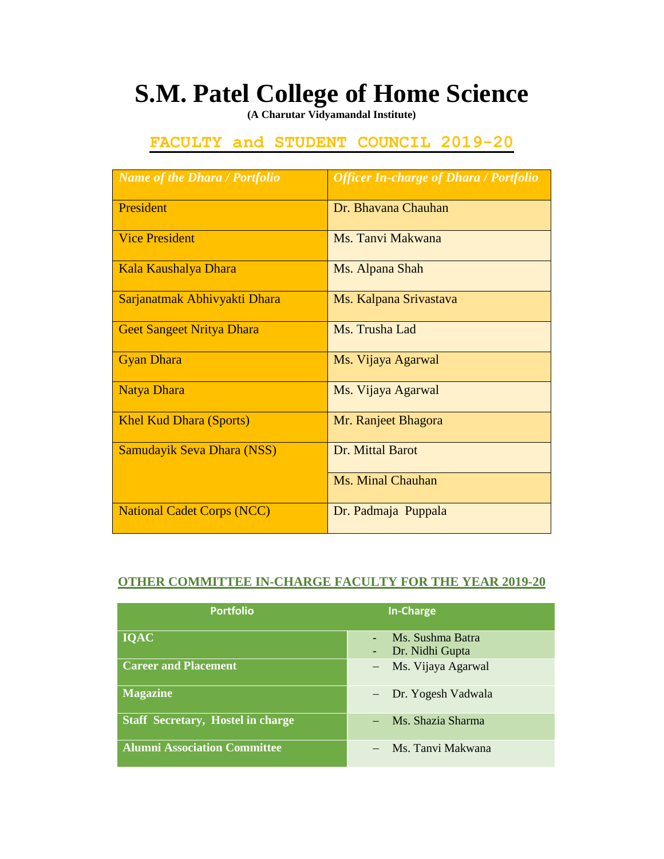## **S.M. Patel College of Home Science**

**(A Charutar Vidyamandal Institute)**

## **FACULTY and STUDENT COUNCIL 2019-20**

| <b>Name of the Dhara / Portfolio</b> | <b>Officer In-charge of Dhara / Portfolio</b> |
|--------------------------------------|-----------------------------------------------|
| President                            | Dr. Bhavana Chauhan                           |
| <b>Vice President</b>                | Ms. Tanvi Makwana                             |
| Kala Kaushalya Dhara                 | Ms. Alpana Shah                               |
| Sarjanatmak Abhivyakti Dhara         | Ms. Kalpana Srivastava                        |
| <b>Geet Sangeet Nritya Dhara</b>     | Ms. Trusha Lad                                |
| <b>Gyan Dhara</b>                    | Ms. Vijaya Agarwal                            |
| <b>Natya Dhara</b>                   | Ms. Vijaya Agarwal                            |
| <b>Khel Kud Dhara (Sports)</b>       | Mr. Ranjeet Bhagora                           |
| Samudayik Seva Dhara (NSS)           | Dr. Mittal Barot                              |
|                                      | Ms. Minal Chauhan                             |
| <b>National Cadet Corps (NCC)</b>    | Dr. Padmaja Puppala                           |

## **OTHER COMMITTEE IN-CHARGE FACULTY FOR THE YEAR 2019-20**

| <b>Portfolio</b>                         | In-Charge                           |
|------------------------------------------|-------------------------------------|
| <b>IQAC</b>                              | Ms. Sushma Batra<br>Dr. Nidhi Gupta |
| <b>Career and Placement</b>              | - Ms. Vijaya Agarwal                |
| <b>Magazine</b>                          | - Dr. Yogesh Vadwala                |
| <b>Staff Secretary, Hostel in charge</b> | Ms. Shazia Sharma                   |
| <b>Alumni Association Committee</b>      | Ms. Tanvi Makwana                   |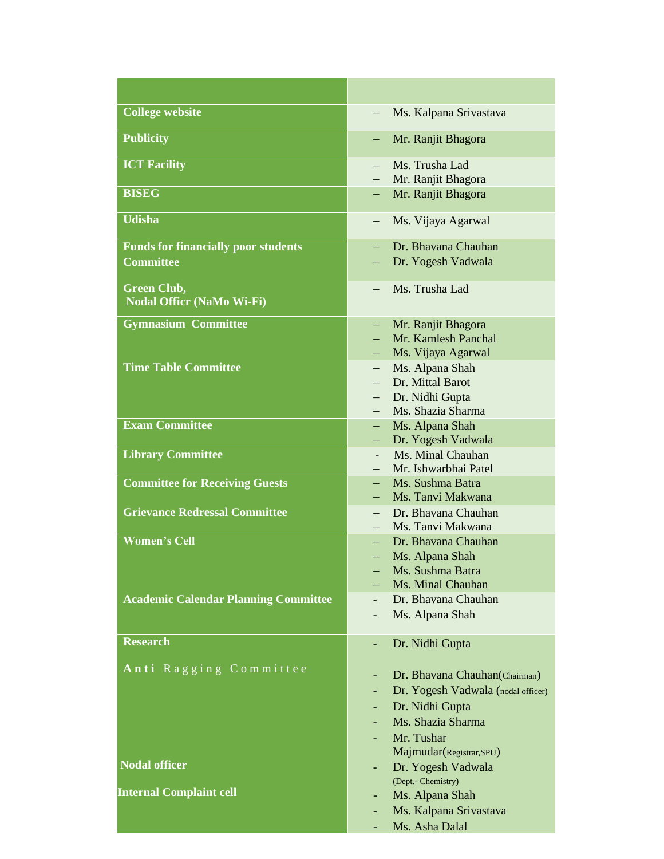| <b>College website</b>                      | Ms. Kalpana Srivastava                          |
|---------------------------------------------|-------------------------------------------------|
| <b>Publicity</b>                            | Mr. Ranjit Bhagora<br>-                         |
| <b>ICT Facility</b>                         | Ms. Trusha Lad<br>$\overline{\phantom{0}}$      |
| <b>BISEG</b>                                | Mr. Ranjit Bhagora<br>Mr. Ranjit Bhagora<br>—   |
| <b>Udisha</b>                               |                                                 |
|                                             | Ms. Vijaya Agarwal<br>—                         |
| <b>Funds for financially poor students</b>  | Dr. Bhavana Chauhan                             |
| <b>Committee</b>                            | Dr. Yogesh Vadwala                              |
| <b>Green Club,</b>                          | Ms. Trusha Lad                                  |
| <b>Nodal Officr (NaMo Wi-Fi)</b>            |                                                 |
| <b>Gymnasium Committee</b>                  | Mr. Ranjit Bhagora<br>—                         |
|                                             | Mr. Kamlesh Panchal                             |
| <b>Time Table Committee</b>                 | Ms. Vijaya Agarwal<br>Ms. Alpana Shah<br>$-$    |
|                                             | Dr. Mittal Barot                                |
|                                             | Dr. Nidhi Gupta                                 |
|                                             | Ms. Shazia Sharma                               |
| <b>Exam Committee</b>                       | Ms. Alpana Shah                                 |
|                                             | Dr. Yogesh Vadwala<br>н.                        |
| <b>Library Committee</b>                    | Ms. Minal Chauhan                               |
|                                             | Mr. Ishwarbhai Patel                            |
| <b>Committee for Receiving Guests</b>       | Ms. Sushma Batra<br>$-$                         |
|                                             | Ms. Tanvi Makwana                               |
| <b>Grievance Redressal Committee</b>        | Dr. Bhavana Chauhan<br>$-$<br>Ms. Tanvi Makwana |
| <b>Women's Cell</b>                         | Dr. Bhavana Chauhan                             |
|                                             | Ms. Alpana Shah<br>—                            |
|                                             | Ms. Sushma Batra                                |
|                                             | Ms. Minal Chauhan                               |
| <b>Academic Calendar Planning Committee</b> | Dr. Bhavana Chauhan                             |
|                                             | Ms. Alpana Shah                                 |
|                                             |                                                 |
| <b>Research</b>                             | Dr. Nidhi Gupta                                 |
| Anti Ragging Committee                      | Dr. Bhavana Chauhan (Chairman)<br>-             |
|                                             | Dr. Yogesh Vadwala (nodal officer)              |
|                                             | Dr. Nidhi Gupta                                 |
|                                             | Ms. Shazia Sharma                               |
|                                             | Mr. Tushar                                      |
|                                             | Majmudar(Registrar,SPU)                         |
| <b>Nodal officer</b>                        | Dr. Yogesh Vadwala                              |
| <b>Internal Complaint cell</b>              | (Dept.- Chemistry)                              |
|                                             | Ms. Alpana Shah                                 |
|                                             | Ms. Kalpana Srivastava<br>۰<br>Ms. Asha Dalal   |
|                                             |                                                 |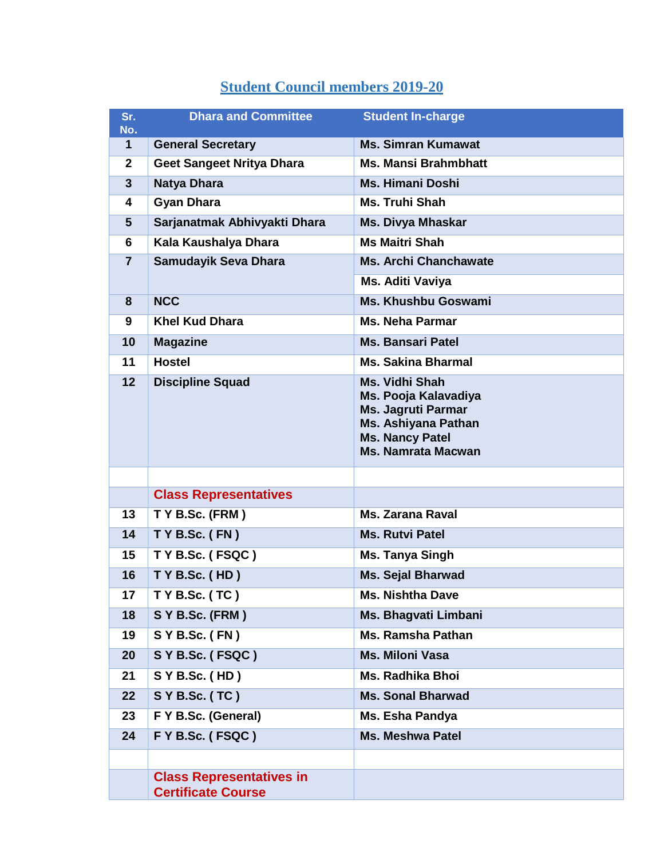## **Student Council members 2019-20**

| Sr.<br>No.     | <b>Dhara and Committee</b>                                   | <b>Student In-charge</b>                                                                                                                                        |  |
|----------------|--------------------------------------------------------------|-----------------------------------------------------------------------------------------------------------------------------------------------------------------|--|
| 1              | <b>General Secretary</b>                                     | <b>Ms. Simran Kumawat</b>                                                                                                                                       |  |
| $\mathbf{2}$   | <b>Geet Sangeet Nritya Dhara</b>                             | <b>Ms. Mansi Brahmbhatt</b>                                                                                                                                     |  |
| $\overline{3}$ | Natya Dhara                                                  | <b>Ms. Himani Doshi</b>                                                                                                                                         |  |
| 4              | <b>Gyan Dhara</b>                                            | <b>Ms. Truhi Shah</b>                                                                                                                                           |  |
| 5              | Sarjanatmak Abhivyakti Dhara                                 | <b>Ms. Divya Mhaskar</b>                                                                                                                                        |  |
| 6              | Kala Kaushalya Dhara                                         | <b>Ms Maitri Shah</b>                                                                                                                                           |  |
| $\overline{7}$ | Samudayik Seva Dhara                                         | <b>Ms. Archi Chanchawate</b>                                                                                                                                    |  |
|                |                                                              | Ms. Aditi Vaviya                                                                                                                                                |  |
| 8              | <b>NCC</b>                                                   | <b>Ms. Khushbu Goswami</b>                                                                                                                                      |  |
| 9              | <b>Khel Kud Dhara</b>                                        | <b>Ms. Neha Parmar</b>                                                                                                                                          |  |
| 10             | <b>Magazine</b>                                              | <b>Ms. Bansari Patel</b>                                                                                                                                        |  |
| 11             | <b>Hostel</b>                                                | <b>Ms. Sakina Bharmal</b>                                                                                                                                       |  |
| 12             | <b>Discipline Squad</b>                                      | <b>Ms. Vidhi Shah</b><br>Ms. Pooja Kalavadiya<br><b>Ms. Jagruti Parmar</b><br><b>Ms. Ashiyana Pathan</b><br><b>Ms. Nancy Patel</b><br><b>Ms. Namrata Macwan</b> |  |
|                |                                                              |                                                                                                                                                                 |  |
|                | <b>Class Representatives</b>                                 |                                                                                                                                                                 |  |
| 13             | T Y B.Sc. (FRM)                                              | <b>Ms. Zarana Raval</b>                                                                                                                                         |  |
| 14             | TYB.Sc. (FN)                                                 | <b>Ms. Rutvi Patel</b>                                                                                                                                          |  |
| 15             | TYB.Sc. (FSQC)                                               | <b>Ms. Tanya Singh</b>                                                                                                                                          |  |
| 16             | T Y B.Sc. (HD)                                               | <b>Ms. Sejal Bharwad</b>                                                                                                                                        |  |
| 17             | $TY$ B.Sc. (TC)                                              | <b>Ms. Nishtha Dave</b>                                                                                                                                         |  |
| 18             | S Y B.Sc. (FRM)                                              | Ms. Bhagvati Limbani                                                                                                                                            |  |
| 19             | $S Y B.Sc.$ (FN)                                             | <b>Ms. Ramsha Pathan</b>                                                                                                                                        |  |
| 20             | S Y B.Sc. (FSQC)                                             | <b>Ms. Miloni Vasa</b>                                                                                                                                          |  |
| 21             | S Y B.Sc. (HD)                                               | Ms. Radhika Bhoi                                                                                                                                                |  |
| 22             | S Y B.Sc. (TC)                                               | <b>Ms. Sonal Bharwad</b>                                                                                                                                        |  |
| 23             | F Y B.Sc. (General)                                          | Ms. Esha Pandya                                                                                                                                                 |  |
| 24             | F Y B.Sc. (FSQC)                                             | <b>Ms. Meshwa Patel</b>                                                                                                                                         |  |
|                |                                                              |                                                                                                                                                                 |  |
|                | <b>Class Representatives in</b><br><b>Certificate Course</b> |                                                                                                                                                                 |  |